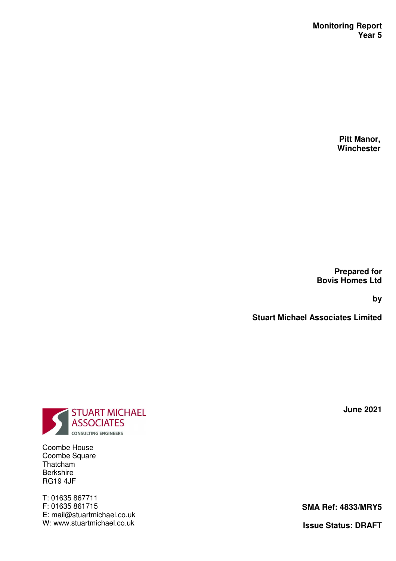**Pitt Manor, Winchester** 

**Prepared for Bovis Homes Ltd** 

**by** 

**Stuart Michael Associates Limited** 

**June 2021** 

**SMA Ref: 4833/MRY5** 

**Issue Status: DRAFT**



Coombe House Coombe Square Thatcham Berkshire RG19 4JF

T: 01635 867711 F: 01635 861715 E: mail@stuartmichael.co.uk W: www.stuartmichael.co.uk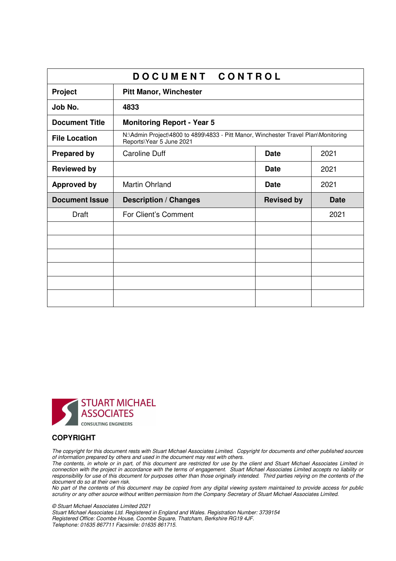|                       | DOCUMENT CONTROL                                                                                               |                   |             |
|-----------------------|----------------------------------------------------------------------------------------------------------------|-------------------|-------------|
| Project               | <b>Pitt Manor, Winchester</b>                                                                                  |                   |             |
| Job No.               | 4833                                                                                                           |                   |             |
| <b>Document Title</b> | <b>Monitoring Report - Year 5</b>                                                                              |                   |             |
| <b>File Location</b>  | N:\Admin Project\4800 to 4899\4833 - Pitt Manor, Winchester Travel Plan\Monitoring<br>Reports\Year 5 June 2021 |                   |             |
| <b>Prepared by</b>    | <b>Caroline Duff</b>                                                                                           | <b>Date</b>       | 2021        |
| <b>Reviewed by</b>    |                                                                                                                | <b>Date</b>       | 2021        |
| <b>Approved by</b>    | <b>Martin Ohrland</b>                                                                                          | <b>Date</b>       | 2021        |
| <b>Document Issue</b> | <b>Description / Changes</b>                                                                                   | <b>Revised by</b> | <b>Date</b> |
| Draft                 | For Client's Comment                                                                                           |                   | 2021        |
|                       |                                                                                                                |                   |             |
|                       |                                                                                                                |                   |             |
|                       |                                                                                                                |                   |             |
|                       |                                                                                                                |                   |             |
|                       |                                                                                                                |                   |             |
|                       |                                                                                                                |                   |             |



#### **COPYRIGHT**

The copyright for this document rests with Stuart Michael Associates Limited. Copyright for documents and other published sources of information prepared by others and used in the document may rest with others.

The contents, in whole or in part, of this document are restricted for use by the client and Stuart Michael Associates Limited in connection with the project in accordance with the terms of engagement. Stuart Michael Associates Limited accepts no liability or responsibility for use of this document for purposes other than those originally intended. Third parties relying on the contents of the document do so at their own risk.

No part of the contents of this document may be copied from any digital viewing system maintained to provide access for public scrutiny or any other source without written permission from the Company Secretary of Stuart Michael Associates Limited.

© Stuart Michael Associates Limited 2021 Stuart Michael Associates Ltd. Registered in England and Wales. Registration Number: 3739154 Registered Office: Coombe House, Coombe Square, Thatcham, Berkshire RG19 4JF. Telephone: 01635 867711 Facsimile: 01635 861715.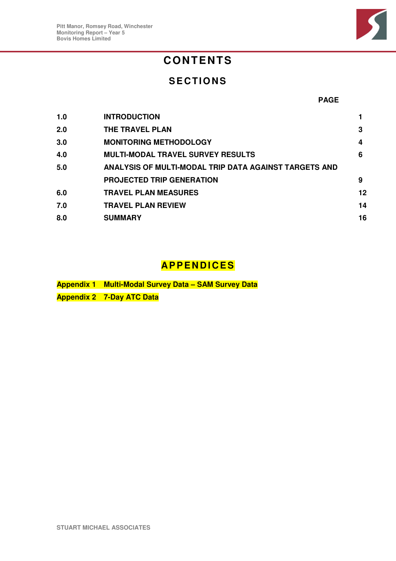

# **CONTENTS**

## **SECTIONS**

#### **PAGE**

| 1.0 | <b>INTRODUCTION</b>                                   |    |
|-----|-------------------------------------------------------|----|
| 2.0 | <b>THE TRAVEL PLAN</b>                                | 3  |
| 3.0 | <b>MONITORING METHODOLOGY</b>                         | 4  |
| 4.0 | <b>MULTI-MODAL TRAVEL SURVEY RESULTS</b>              | 6  |
| 5.0 | ANALYSIS OF MULTI-MODAL TRIP DATA AGAINST TARGETS AND |    |
|     | <b>PROJECTED TRIP GENERATION</b>                      | 9  |
| 6.0 | <b>TRAVEL PLAN MEASURES</b>                           | 12 |
| 7.0 | <b>TRAVEL PLAN REVIEW</b>                             | 14 |
| 8.0 | <b>SUMMARY</b>                                        | 16 |

## **AP P E N D I C ES**

**Appendix 1 Multi-Modal Survey Data – SAM Survey Data Appendix 2 7-Day ATC Data**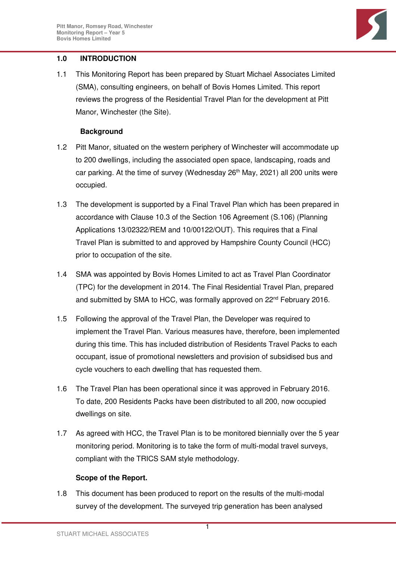

## **1.0 INTRODUCTION**

1.1 This Monitoring Report has been prepared by Stuart Michael Associates Limited (SMA), consulting engineers, on behalf of Bovis Homes Limited. This report reviews the progress of the Residential Travel Plan for the development at Pitt Manor, Winchester (the Site).

## **Background**

- 1.2 Pitt Manor, situated on the western periphery of Winchester will accommodate up to 200 dwellings, including the associated open space, landscaping, roads and car parking. At the time of survey (Wednesday  $26<sup>th</sup>$  May, 2021) all 200 units were occupied.
- 1.3 The development is supported by a Final Travel Plan which has been prepared in accordance with Clause 10.3 of the Section 106 Agreement (S.106) (Planning Applications 13/02322/REM and 10/00122/OUT). This requires that a Final Travel Plan is submitted to and approved by Hampshire County Council (HCC) prior to occupation of the site.
- 1.4 SMA was appointed by Bovis Homes Limited to act as Travel Plan Coordinator (TPC) for the development in 2014. The Final Residential Travel Plan, prepared and submitted by SMA to HCC, was formally approved on 22<sup>nd</sup> February 2016.
- 1.5 Following the approval of the Travel Plan, the Developer was required to implement the Travel Plan. Various measures have, therefore, been implemented during this time. This has included distribution of Residents Travel Packs to each occupant, issue of promotional newsletters and provision of subsidised bus and cycle vouchers to each dwelling that has requested them.
- 1.6 The Travel Plan has been operational since it was approved in February 2016. To date, 200 Residents Packs have been distributed to all 200, now occupied dwellings on site.
- 1.7 As agreed with HCC, the Travel Plan is to be monitored biennially over the 5 year monitoring period. Monitoring is to take the form of multi-modal travel surveys, compliant with the TRICS SAM style methodology.

## **Scope of the Report.**

1.8 This document has been produced to report on the results of the multi-modal survey of the development. The surveyed trip generation has been analysed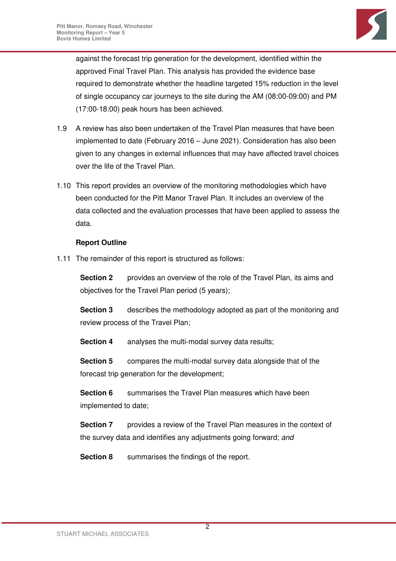

against the forecast trip generation for the development, identified within the approved Final Travel Plan. This analysis has provided the evidence base required to demonstrate whether the headline targeted 15% reduction in the level of single occupancy car journeys to the site during the AM (08:00-09:00) and PM (17:00-18:00) peak hours has been achieved.

- 1.9 A review has also been undertaken of the Travel Plan measures that have been implemented to date (February 2016 – June 2021). Consideration has also been given to any changes in external influences that may have affected travel choices over the life of the Travel Plan.
- 1.10 This report provides an overview of the monitoring methodologies which have been conducted for the Pitt Manor Travel Plan. It includes an overview of the data collected and the evaluation processes that have been applied to assess the data.

## **Report Outline**

1.11 The remainder of this report is structured as follows:

**Section 2** provides an overview of the role of the Travel Plan, its aims and objectives for the Travel Plan period (5 years);

**Section 3** describes the methodology adopted as part of the monitoring and review process of the Travel Plan;

**Section 4** analyses the multi-modal survey data results;

**Section 5** compares the multi-modal survey data alongside that of the forecast trip generation for the development;

**Section 6** summarises the Travel Plan measures which have been implemented to date;

**Section 7** provides a review of the Travel Plan measures in the context of the survey data and identifies any adjustments going forward; and

**Section 8** summarises the findings of the report.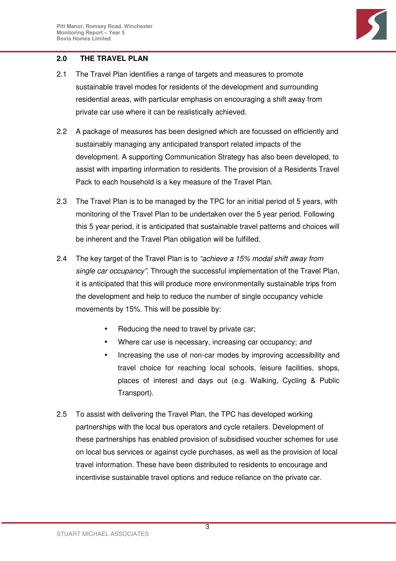

## **2.0 THE TRAVEL PLAN**

- 2.1 The Travel Plan identifies a range of targets and measures to promote sustainable travel modes for residents of the development and surrounding residential areas, with particular emphasis on encouraging a shift away from private car use where it can be realistically achieved.
- 2.2 A package of measures has been designed which are focussed on efficiently and sustainably managing any anticipated transport related impacts of the development. A supporting Communication Strategy has also been developed, to assist with imparting information to residents. The provision of a Residents Travel Pack to each household is a key measure of the Travel Plan.
- 2.3 The Travel Plan is to be managed by the TPC for an initial period of 5 years, with monitoring of the Travel Plan to be undertaken over the 5 year period. Following this 5 year period, it is anticipated that sustainable travel patterns and choices will be inherent and the Travel Plan obligation will be fulfilled.
- 2.4 The key target of the Travel Plan is to "achieve a 15% modal shift away from single car occupancy". Through the successful implementation of the Travel Plan, it is anticipated that this will produce more environmentally sustainable trips from the development and help to reduce the number of single occupancy vehicle movements by 15%. This will be possible by:
	- Reducing the need to travel by private car;
	- Where car use is necessary, increasing car occupancy; and
	- Increasing the use of non-car modes by improving accessibility and travel choice for reaching local schools, leisure facilities, shops, places of interest and days out (e.g. Walking, Cycling & Public Transport).
- 2.5 To assist with delivering the Travel Plan, the TPC has developed working partnerships with the local bus operators and cycle retailers. Development of these partnerships has enabled provision of subsidised voucher schemes for use on local bus services or against cycle purchases, as well as the provision of local travel information. These have been distributed to residents to encourage and incentivise sustainable travel options and reduce reliance on the private car.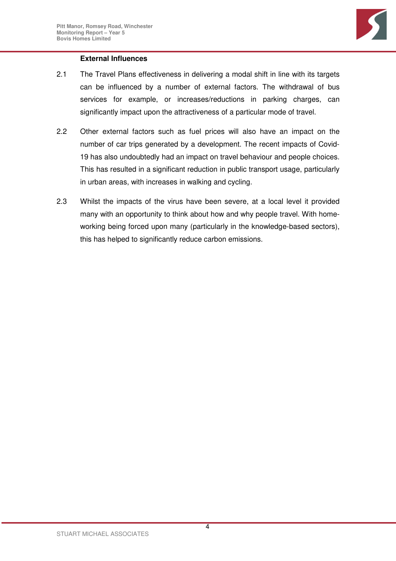

## **External Influences**

- 2.1 The Travel Plans effectiveness in delivering a modal shift in line with its targets can be influenced by a number of external factors. The withdrawal of bus services for example, or increases/reductions in parking charges, can significantly impact upon the attractiveness of a particular mode of travel.
- 2.2 Other external factors such as fuel prices will also have an impact on the number of car trips generated by a development. The recent impacts of Covid-19 has also undoubtedly had an impact on travel behaviour and people choices. This has resulted in a significant reduction in public transport usage, particularly in urban areas, with increases in walking and cycling.
- 2.3 Whilst the impacts of the virus have been severe, at a local level it provided many with an opportunity to think about how and why people travel. With homeworking being forced upon many (particularly in the knowledge-based sectors), this has helped to significantly reduce carbon emissions.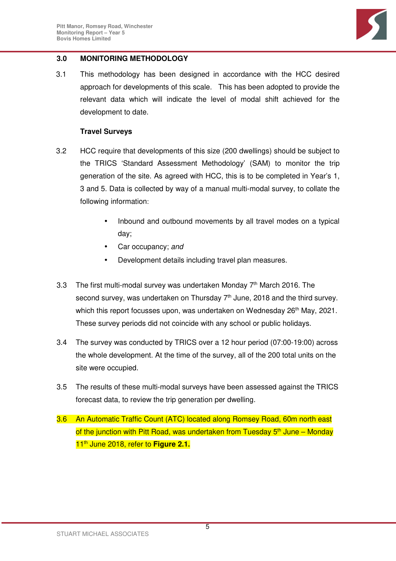

## **3.0 MONITORING METHODOLOGY**

3.1 This methodology has been designed in accordance with the HCC desired approach for developments of this scale. This has been adopted to provide the relevant data which will indicate the level of modal shift achieved for the development to date.

#### **Travel Surveys**

- 3.2 HCC require that developments of this size (200 dwellings) should be subject to the TRICS 'Standard Assessment Methodology' (SAM) to monitor the trip generation of the site. As agreed with HCC, this is to be completed in Year's 1, 3 and 5. Data is collected by way of a manual multi-modal survey, to collate the following information:
	- Inbound and outbound movements by all travel modes on a typical day;
	- Car occupancy: and
	- Development details including travel plan measures.
- 3.3 The first multi-modal survey was undertaken Monday  $7<sup>th</sup>$  March 2016. The second survey, was undertaken on Thursday 7<sup>th</sup> June, 2018 and the third survey. which this report focusses upon, was undertaken on Wednesday 26<sup>th</sup> May, 2021. These survey periods did not coincide with any school or public holidays.
- 3.4 The survey was conducted by TRICS over a 12 hour period (07:00-19:00) across the whole development. At the time of the survey, all of the 200 total units on the site were occupied.
- 3.5 The results of these multi-modal surveys have been assessed against the TRICS forecast data, to review the trip generation per dwelling.
- 3.6 An Automatic Traffic Count (ATC) located along Romsey Road, 60m north east of the junction with Pitt Road, was undertaken from Tuesday  $5<sup>th</sup>$  June – Monday 11<sup>th</sup> June 2018, refer to Figure 2.1.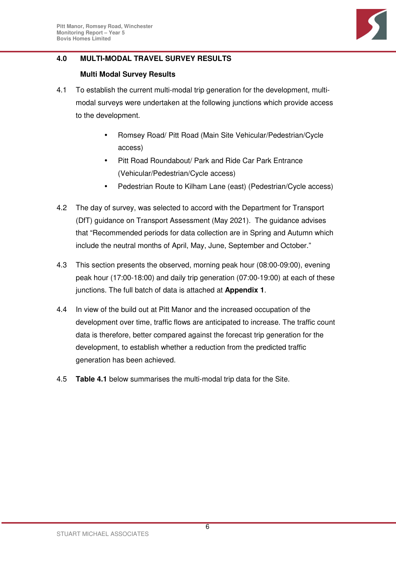

## **4.0 MULTI-MODAL TRAVEL SURVEY RESULTS**

## **Multi Modal Survey Results**

- 4.1 To establish the current multi-modal trip generation for the development, multimodal surveys were undertaken at the following junctions which provide access to the development.
	- Romsey Road/ Pitt Road (Main Site Vehicular/Pedestrian/Cycle access)
	- Pitt Road Roundabout/ Park and Ride Car Park Entrance (Vehicular/Pedestrian/Cycle access)
	- Pedestrian Route to Kilham Lane (east) (Pedestrian/Cycle access)
- 4.2 The day of survey, was selected to accord with the Department for Transport (DfT) guidance on Transport Assessment (May 2021). The guidance advises that "Recommended periods for data collection are in Spring and Autumn which include the neutral months of April, May, June, September and October."
- 4.3 This section presents the observed, morning peak hour (08:00-09:00), evening peak hour (17:00-18:00) and daily trip generation (07:00-19:00) at each of these junctions. The full batch of data is attached at **Appendix 1**.
- 4.4 In view of the build out at Pitt Manor and the increased occupation of the development over time, traffic flows are anticipated to increase. The traffic count data is therefore, better compared against the forecast trip generation for the development, to establish whether a reduction from the predicted traffic generation has been achieved.
- 4.5 **Table 4.1** below summarises the multi-modal trip data for the Site.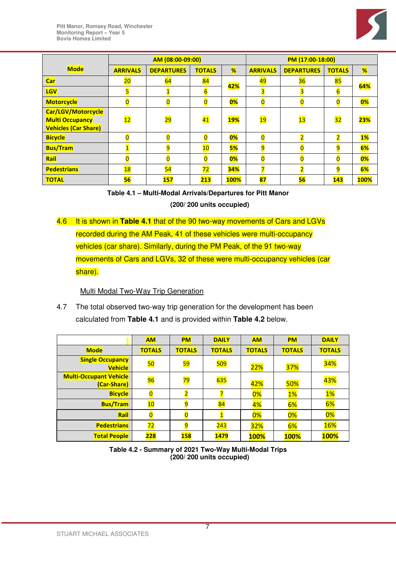

|                                                                             | AM (08:00-09:00)         |                   |                |             | PM (17:00-18:00)        |                          |                |             |
|-----------------------------------------------------------------------------|--------------------------|-------------------|----------------|-------------|-------------------------|--------------------------|----------------|-------------|
| <b>Mode</b>                                                                 | <b>ARRIVALS</b>          | <b>DEPARTURES</b> | <b>TOTALS</b>  | %           | <b>ARRIVALS</b>         | <b>DEPARTURES</b>        | <b>TOTALS</b>  | %           |
| <b>Car</b>                                                                  | 20                       | 64                | 84             | 42%         | 49                      | 36                       | 85             | 64%         |
| <b>LGV</b>                                                                  |                          |                   | $\overline{6}$ |             | 3                       |                          |                |             |
| <b>Motorcycle</b>                                                           | 0                        | 0                 | $\overline{0}$ | 0%          | $\overline{\mathbf{0}}$ | $\overline{0}$           | $\overline{0}$ | 0%          |
| Car/LGV/Motorcycle<br><b>Multi Occupancy</b><br><b>Vehicles (Car Share)</b> | $\overline{\mathbf{12}}$ | <mark>29</mark>   | 41             | <b>19%</b>  | $\overline{19}$         | $\overline{\mathbf{13}}$ | 32             | <b>23%</b>  |
| <b>Bicycle</b>                                                              |                          | 0                 | $\overline{0}$ | 0%          | $\overline{\mathbf{0}}$ |                          |                | 1%          |
| <b>Bus/Tram</b>                                                             |                          | 9                 | 10             | <b>5%</b>   | 9                       |                          | 9              | 6%          |
| Rail                                                                        |                          |                   | $\overline{0}$ | 0%          | $\overline{0}$          |                          |                | 0%          |
| <b>Pedestrians</b>                                                          | 18                       | 54                | 72             | 34%         |                         |                          | 9              | 6%          |
| <b>TOTAL</b>                                                                | 56                       | 157               | 213            | <b>100%</b> | 87                      | 56                       | 143            | <b>100%</b> |

**Table 4.1 – Multi-Modal Arrivals/Departures for Pitt Manor** 

**(200/ 200 units occupied)** 

4.6 It is shown in **Table 4.1** that of the 90 two-way movements of Cars and LGVs recorded during the AM Peak, 41 of these vehicles were multi-occupancy vehicles (car share). Similarly, during the PM Peak, of the 91 two-way movements of Cars and LGVs, 32 of these were multi-occupancy vehicles (car share).

## Multi Modal Two-Way Trip Generation

4.7 The total observed two-way trip generation for the development has been calculated from **Table 4.1** and is provided within **Table 4.2** below.

|                                              | <b>AM</b>     | <b>PM</b>       | <b>DAILY</b>  | <b>AM</b>     | <b>PM</b>     | <b>DAILY</b>     |
|----------------------------------------------|---------------|-----------------|---------------|---------------|---------------|------------------|
| <b>Mode</b>                                  | <b>TOTALS</b> | <b>TOTALS</b>   | <b>TOTALS</b> | <b>TOTALS</b> | <b>TOTALS</b> | <b>TOTALS</b>    |
| <b>Single Occupancy</b><br><b>Vehicle</b>    | 50            | <mark>59</mark> | 509           | 22%           | 37%           | <mark>34%</mark> |
| <b>Multi-Occupant Vehicle</b><br>(Car-Share) | 96            | <mark>79</mark> | <b>635</b>    | 42%           | 50%           | 43%              |
| <b>Bicycle</b>                               | 0             |                 |               | 0%            | 1%            | 1%               |
| <b>Bus/Tram</b>                              | 10            | 9               | 84            | 4%            | 6%            | 6%               |
| Rail                                         |               |                 |               | 0%            | 0%            | 0%               |
| <b>Pedestrians</b>                           | 72            | 9               | 243           | 32%           | 6%            | 16%              |
| <b>Total People</b>                          | 228           | 158             | 1479          | <b>100%</b>   | <b>100%</b>   | <b>100%</b>      |

**Table 4.2 - Summary of 2021 Two-Way Multi-Modal Trips (200/ 200 units occupied)**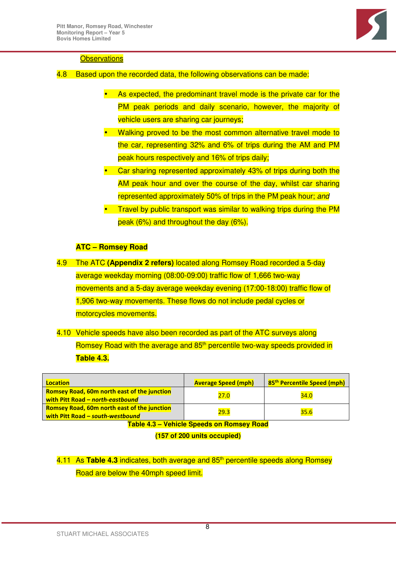

#### **Observations**

- 4.8 Based upon the recorded data, the following observations can be made:
	- As expected, the predominant travel mode is the private car for the PM peak periods and daily scenario, however, the majority of vehicle users are sharing car journeys;
	- Walking proved to be the most common alternative travel mode to the car, representing 32% and 6% of trips during the AM and PM peak hours respectively and 16% of trips daily;
	- Car sharing represented approximately 43% of trips during both the AM peak hour and over the course of the day, whilst car sharing represented approximately 50% of trips in the PM peak hour; and
	- Travel by public transport was similar to walking trips during the PM peak (6%) and throughout the day (6%).

## **ATC – Romsey Road**

- 4.9 The ATC **(Appendix 2 refers)** located along Romsey Road recorded a 5-day average weekday morning (08:00-09:00) traffic flow of 1,666 two-way movements and a 5-day average weekday evening (17:00-18:00) traffic flow of 1,906 two-way movements. These flows do not include pedal cycles or motorcycles movements.
- 4.10 Vehicle speeds have also been recorded as part of the ATC surveys along Romsey Road with the average and 85<sup>th</sup> percentile two-way speeds provided in **Table 4.3.**

| Location                                                                               | <b>Average Speed (mph)</b> | 85 <sup>th</sup> Percentile Speed (mph) |
|----------------------------------------------------------------------------------------|----------------------------|-----------------------------------------|
| <b>Romsey Road, 60m north east of the junction</b><br>with Pitt Road - north-eastbound | 27.0                       | 34.0                                    |
| <b>Romsey Road, 60m north east of the junction</b><br>with Pitt Road - south-westbound | 29.3                       | 35.6                                    |

**Table 4.3 – Vehicle Speeds on Romsey Road** 

**(157 of 200 units occupied)**

4.11 As Table 4.3 indicates, both average and 85<sup>th</sup> percentile speeds along Romsey Road are below the 40mph speed limit.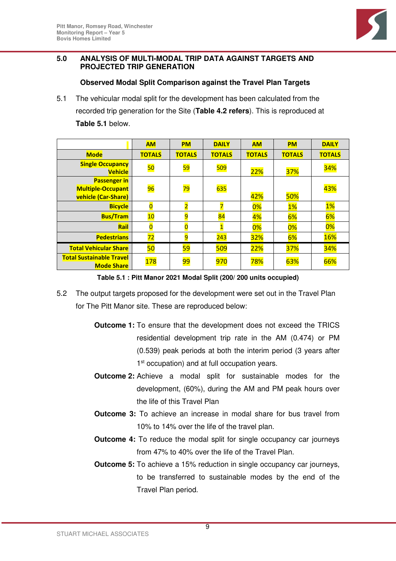

## **5.0 ANALYSIS OF MULTI-MODAL TRIP DATA AGAINST TARGETS AND PROJECTED TRIP GENERATION**

## **Observed Modal Split Comparison against the Travel Plan Targets**

5.1 The vehicular modal split for the development has been calculated from the recorded trip generation for the Site (**Table 4.2 refers**). This is reproduced at **Table 5.1** below.

|                                                                        | <b>AM</b>               | <b>PM</b>       | <b>DAILY</b>  | <b>AM</b>     | <b>PM</b>     | <b>DAILY</b>  |
|------------------------------------------------------------------------|-------------------------|-----------------|---------------|---------------|---------------|---------------|
| <b>Mode</b>                                                            | <b>TOTALS</b>           | <b>TOTALS</b>   | <b>TOTALS</b> | <b>TOTALS</b> | <b>TOTALS</b> | <b>TOTALS</b> |
| <b>Single Occupancy</b><br><b>Vehicle</b>                              | <b>50</b>               | <mark>59</mark> | <b>509</b>    | 22%           | <b>37%</b>    | <b>34%</b>    |
| <b>Passenger in</b><br><b>Multiple-Occupant</b><br>vehicle (Car-Share) | 96                      | <mark>79</mark> | <b>635</b>    | 42%           | 50%           | 43%           |
| <b>Bicycle</b>                                                         | $\overline{\mathbf{0}}$ | $\overline{2}$  |               | 0%            | 1%            | 1%            |
| <b>Bus/Tram</b>                                                        | 10                      | 9               | 84            | 4%            | 6%            | 6%            |
| Rail                                                                   | $\overline{\mathbf{0}}$ | $\overline{0}$  | $\mathbf 1$   | 0%            | 0%            | 0%            |
| <b>Pedestrians</b>                                                     | 72                      | 9               | 243           | <b>32%</b>    | 6%            | <b>16%</b>    |
| <b>Total Vehicular Share</b>                                           | 50                      | 59              | 509           | 22%           | <b>37%</b>    | 34%           |
| <b>Total Sustainable Travel</b><br><b>Mode Share</b>                   | <mark>178</mark>        | <mark>99</mark> | 970           | 78%           | 63%           | 66%           |

**Table 5.1 : Pitt Manor 2021 Modal Split (200/ 200 units occupied)** 

- 5.2 The output targets proposed for the development were set out in the Travel Plan for The Pitt Manor site. These are reproduced below:
	- **Outcome 1:** To ensure that the development does not exceed the TRICS residential development trip rate in the AM (0.474) or PM (0.539) peak periods at both the interim period (3 years after 1<sup>st</sup> occupation) and at full occupation years.
	- **Outcome 2:** Achieve a modal split for sustainable modes for the development, (60%), during the AM and PM peak hours over the life of this Travel Plan
	- **Outcome 3:** To achieve an increase in modal share for bus travel from 10% to 14% over the life of the travel plan.
	- **Outcome 4:** To reduce the modal split for single occupancy car journeys from 47% to 40% over the life of the Travel Plan.
	- **Outcome 5:** To achieve a 15% reduction in single occupancy car journeys, to be transferred to sustainable modes by the end of the Travel Plan period.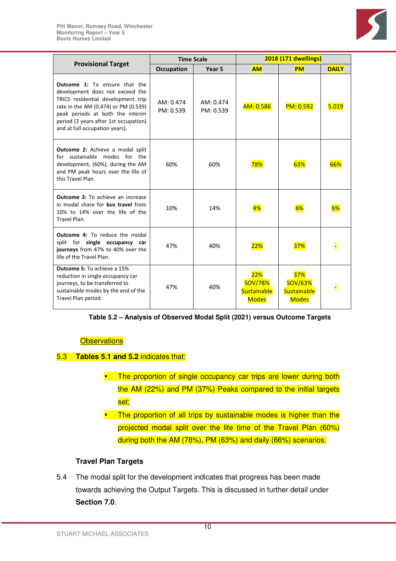

|                                                                                                                                                                                                                                                                      | <b>Time Scale</b>      |                        |                                                             | <b>2018 (171 dwellings)</b>                                 |              |  |  |
|----------------------------------------------------------------------------------------------------------------------------------------------------------------------------------------------------------------------------------------------------------------------|------------------------|------------------------|-------------------------------------------------------------|-------------------------------------------------------------|--------------|--|--|
| <b>Provisional Target</b>                                                                                                                                                                                                                                            | <b>Occupation</b>      | Year <sub>5</sub>      | <b>AM</b>                                                   | <b>PM</b>                                                   | <b>DAILY</b> |  |  |
| <b>Outcome 1:</b> To ensure that the<br>development does not exceed the<br>TRICS residential development trip<br>rate in the AM (0.474) or PM (0.539)<br>peak periods at both the interim<br>period (3 years after 1st occupation)<br>and at full occupation years). | AM: 0.474<br>PM: 0.539 | AM: 0.474<br>PM: 0.539 | AM: 0.586                                                   | PM: 0.592                                                   | 5.019        |  |  |
| <b>Outcome 2:</b> Achieve a modal split<br>for sustainable modes for the<br>development, (60%), during the AM<br>and PM peak hours over the life of<br>this Travel Plan.                                                                                             | 60%                    | 60%                    | 78%                                                         | 63%                                                         | 66%          |  |  |
| <b>Outcome 3:</b> To achieve an increase<br>in modal share for <b>bus travel</b> from<br>10% to 14% over the life of the<br>Travel Plan.                                                                                                                             | 10%                    | 14%                    | 4%                                                          | 6%                                                          | 6%           |  |  |
| <b>Outcome 4:</b> To reduce the modal<br>split for single occupancy car<br>journeys from 47% to 40% over the<br>life of the Travel Plan.                                                                                                                             | 47%                    | 40%                    | <b>22%</b>                                                  | 37%                                                         |              |  |  |
| <b>Outcome 5: To achieve a 15%</b><br>reduction in single occupancy car<br>journeys, to be transferred to<br>sustainable modes by the end of the<br>Travel Plan period.                                                                                              | 47%                    | 40%                    | 22%<br><b>SOV/78%</b><br><b>Sustainable</b><br><b>Modes</b> | 37%<br><b>SOV/63%</b><br><b>Sustainable</b><br><b>Modes</b> |              |  |  |

| Table 5.2 – Analysis of Observed Modal Split (2021) versus Outcome Targets |  |  |
|----------------------------------------------------------------------------|--|--|
|                                                                            |  |  |

#### **Observations**

#### 5.3 **Tables 5.1 and 5.2** indicates that:

- The proportion of single occupancy car trips are lower during both the AM (22%) and PM (37%) Peaks compared to the initial targets set;
- The proportion of all trips by sustainable modes is higher than the projected modal split over the life time of the Travel Plan (60%) during both the AM (78%), PM (63%) and daily (66%) scenarios.

## **Travel Plan Targets**

5.4 The modal split for the development indicates that progress has been made towards achieving the Output Targets. This is discussed in further detail under **Section 7.0**.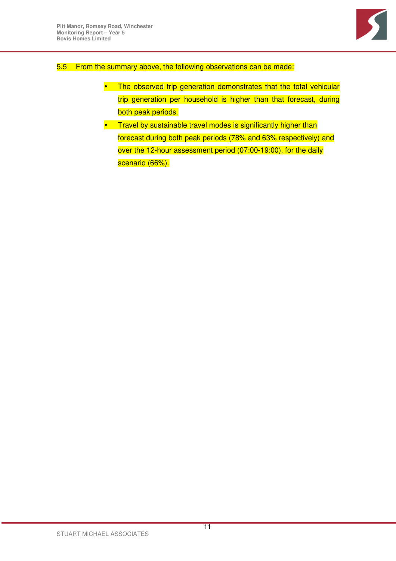

## 5.5 From the summary above, the following observations can be made:

- The observed trip generation demonstrates that the total vehicular trip generation per household is higher than that forecast, during both peak periods.
- Travel by sustainable travel modes is significantly higher than forecast during both peak periods (78% and 63% respectively) and over the 12-hour assessment period (07:00-19:00), for the daily scenario (66%).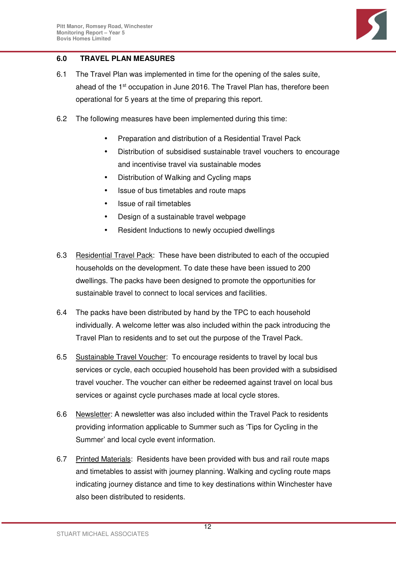

## **6.0 TRAVEL PLAN MEASURES**

- 6.1 The Travel Plan was implemented in time for the opening of the sales suite, ahead of the 1<sup>st</sup> occupation in June 2016. The Travel Plan has, therefore been operational for 5 years at the time of preparing this report.
- 6.2 The following measures have been implemented during this time:
	- Preparation and distribution of a Residential Travel Pack
	- Distribution of subsidised sustainable travel vouchers to encourage and incentivise travel via sustainable modes
	- Distribution of Walking and Cycling maps
	- Issue of bus timetables and route maps
	- Issue of rail timetables
	- Design of a sustainable travel webpage
	- Resident Inductions to newly occupied dwellings
- 6.3 Residential Travel Pack: These have been distributed to each of the occupied households on the development. To date these have been issued to 200 dwellings. The packs have been designed to promote the opportunities for sustainable travel to connect to local services and facilities.
- 6.4 The packs have been distributed by hand by the TPC to each household individually. A welcome letter was also included within the pack introducing the Travel Plan to residents and to set out the purpose of the Travel Pack.
- 6.5 Sustainable Travel Voucher: To encourage residents to travel by local bus services or cycle, each occupied household has been provided with a subsidised travel voucher. The voucher can either be redeemed against travel on local bus services or against cycle purchases made at local cycle stores.
- 6.6 Newsletter: A newsletter was also included within the Travel Pack to residents providing information applicable to Summer such as 'Tips for Cycling in the Summer' and local cycle event information.
- 6.7 Printed Materials: Residents have been provided with bus and rail route maps and timetables to assist with journey planning. Walking and cycling route maps indicating journey distance and time to key destinations within Winchester have also been distributed to residents.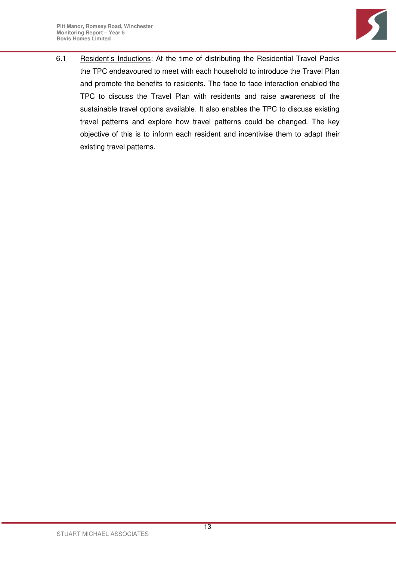

6.1 Resident's Inductions: At the time of distributing the Residential Travel Packs the TPC endeavoured to meet with each household to introduce the Travel Plan and promote the benefits to residents. The face to face interaction enabled the TPC to discuss the Travel Plan with residents and raise awareness of the sustainable travel options available. It also enables the TPC to discuss existing travel patterns and explore how travel patterns could be changed. The key objective of this is to inform each resident and incentivise them to adapt their existing travel patterns.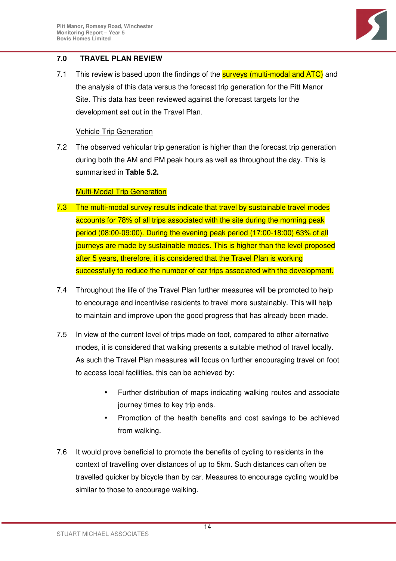

## **7.0 TRAVEL PLAN REVIEW**

7.1 This review is based upon the findings of the **surveys (multi-modal and ATC)** and the analysis of this data versus the forecast trip generation for the Pitt Manor Site. This data has been reviewed against the forecast targets for the development set out in the Travel Plan.

#### Vehicle Trip Generation

7.2 The observed vehicular trip generation is higher than the forecast trip generation during both the AM and PM peak hours as well as throughout the day. This is summarised in **Table 5.2.**

## Multi-Modal Trip Generation

- 7.3 The multi-modal survey results indicate that travel by sustainable travel modes accounts for 78% of all trips associated with the site during the morning peak period (08:00-09:00). During the evening peak period (17:00-18:00) 63% of all journeys are made by sustainable modes. This is higher than the level proposed after 5 years, therefore, it is considered that the Travel Plan is working successfully to reduce the number of car trips associated with the development.
- 7.4 Throughout the life of the Travel Plan further measures will be promoted to help to encourage and incentivise residents to travel more sustainably. This will help to maintain and improve upon the good progress that has already been made.
- 7.5 In view of the current level of trips made on foot, compared to other alternative modes, it is considered that walking presents a suitable method of travel locally. As such the Travel Plan measures will focus on further encouraging travel on foot to access local facilities, this can be achieved by:
	- Further distribution of maps indicating walking routes and associate journey times to key trip ends.
	- Promotion of the health benefits and cost savings to be achieved from walking.
- 7.6 It would prove beneficial to promote the benefits of cycling to residents in the context of travelling over distances of up to 5km. Such distances can often be travelled quicker by bicycle than by car. Measures to encourage cycling would be similar to those to encourage walking.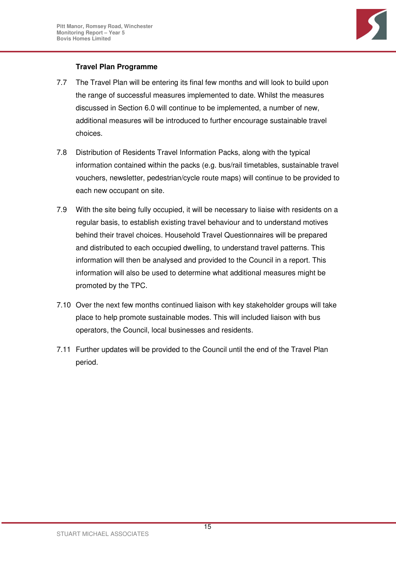

## **Travel Plan Programme**

- 7.7 The Travel Plan will be entering its final few months and will look to build upon the range of successful measures implemented to date. Whilst the measures discussed in Section 6.0 will continue to be implemented, a number of new, additional measures will be introduced to further encourage sustainable travel choices.
- 7.8 Distribution of Residents Travel Information Packs, along with the typical information contained within the packs (e.g. bus/rail timetables, sustainable travel vouchers, newsletter, pedestrian/cycle route maps) will continue to be provided to each new occupant on site.
- 7.9 With the site being fully occupied, it will be necessary to liaise with residents on a regular basis, to establish existing travel behaviour and to understand motives behind their travel choices. Household Travel Questionnaires will be prepared and distributed to each occupied dwelling, to understand travel patterns. This information will then be analysed and provided to the Council in a report. This information will also be used to determine what additional measures might be promoted by the TPC.
- 7.10 Over the next few months continued liaison with key stakeholder groups will take place to help promote sustainable modes. This will included liaison with bus operators, the Council, local businesses and residents.
- 7.11 Further updates will be provided to the Council until the end of the Travel Plan period.